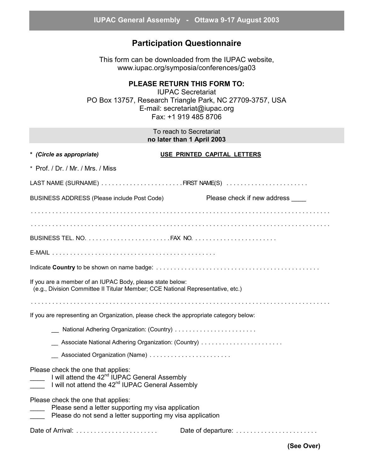## **Participation Questionnaire**

This form can be downloaded from the IUPAC website, www.iupac.org/symposia/conferences/ga03

## **PLEASE RETURN THIS FORM TO:**

IUPAC Secretariat PO Box 13757, Research Triangle Park, NC 27709-3757, USA E-mail: secretariat@iupac.org Fax: +1 919 485 8706

> To reach to Secretariat **no later than 1 April 2003**

| * (Circle as appropriate)                                                                                                                                        | USE PRINTED CAPITAL LETTERS |  |
|------------------------------------------------------------------------------------------------------------------------------------------------------------------|-----------------------------|--|
| * Prof. / Dr. / Mr. / Mrs. / Miss                                                                                                                                |                             |  |
|                                                                                                                                                                  |                             |  |
| BUSINESS ADDRESS (Please include Post Code)                                                                                                                      | Please check if new address |  |
|                                                                                                                                                                  |                             |  |
|                                                                                                                                                                  |                             |  |
|                                                                                                                                                                  |                             |  |
|                                                                                                                                                                  |                             |  |
|                                                                                                                                                                  |                             |  |
| If you are a member of an IUPAC Body, please state below:<br>(e.g., Division Committee II Titular Member; CCE National Representative, etc.)                     |                             |  |
|                                                                                                                                                                  |                             |  |
| If you are representing an Organization, please check the appropriate category below:                                                                            |                             |  |
| National Adhering Organization: (Country)                                                                                                                        |                             |  |
|                                                                                                                                                                  |                             |  |
| Associated Organization (Name)                                                                                                                                   |                             |  |
| Please check the one that applies:<br>I will attend the 42 <sup>nd</sup> IUPAC General Assembly<br>I will not attend the 42 <sup>nd</sup> IUPAC General Assembly |                             |  |
| Please check the one that applies:<br>Please send a letter supporting my visa application<br>Please do not send a letter supporting my visa application          |                             |  |
|                                                                                                                                                                  |                             |  |